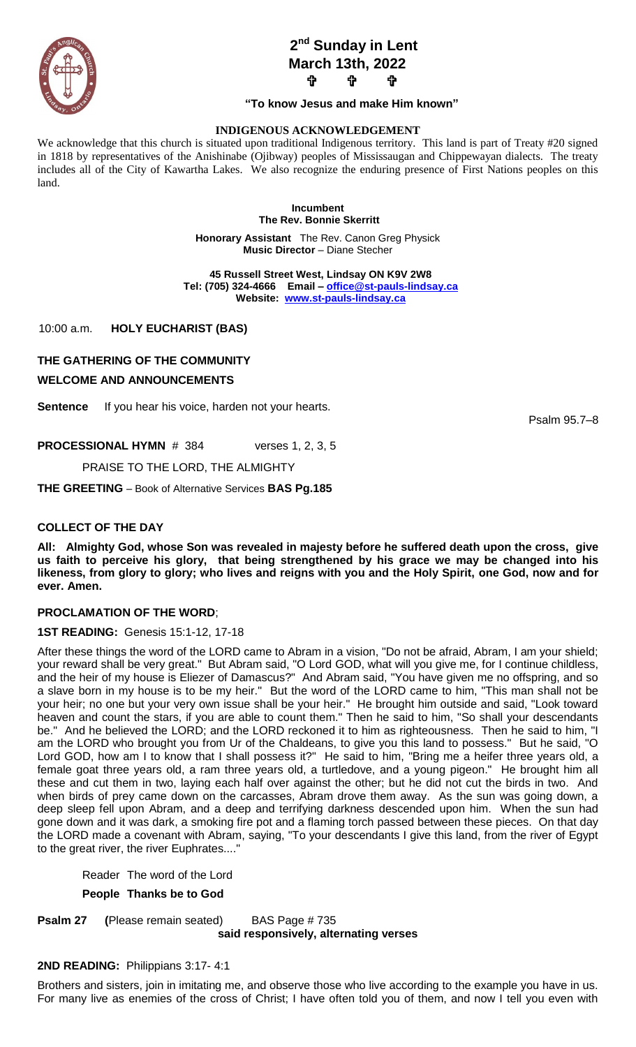

# **2 nd Sunday in Lent March 13th, 2022 ታ ቀ**

#### **"To know Jesus and make Him known"**

### **INDIGENOUS ACKNOWLEDGEMENT**

We acknowledge that this church is situated upon traditional Indigenous territory. This land is part of Treaty #20 signed in 1818 by representatives of the Anishinabe (Ojibway) peoples of Mississaugan and Chippewayan dialects. The treaty includes all of the City of Kawartha Lakes. We also recognize the enduring presence of First Nations peoples on this land.

> **Incumbent The Rev. Bonnie Skerritt**

**Honorary Assistant** The Rev. Canon Greg Physick **Music Director** – Diane Stecher

 **45 Russell Street West, Lindsay ON K9V 2W8 Tel: (705) 324-4666 Email – [office@st-pauls-lindsay.ca](mailto:office@st-pauls-lindsay.ca) Website: [www.st-pauls-lindsay.ca](http://www.st-pauls-lindsay.ca/)**

10:00 a.m. **HOLY EUCHARIST (BAS)** 

#### **THE GATHERING OF THE COMMUNITY**

#### **WELCOME AND ANNOUNCEMENTS**

**Sentence** If you hear his voice, harden not your hearts.

Psalm 95.7–8

**PROCESSIONAL HYMN** # 384 verses 1, 2, 3, 5

PRAISE TO THE LORD, THE ALMIGHTY

**THE GREETING** – Book of Alternative Services **BAS Pg.185**

#### **COLLECT OF THE DAY**

**All: Almighty God, whose Son was revealed in majesty before he suffered death upon the cross, give us faith to perceive his glory, that being strengthened by his grace we may be changed into his likeness, from glory to glory; who lives and reigns with you and the Holy Spirit, one God, now and for ever. Amen.**

#### **PROCLAMATION OF THE WORD**;

#### **1ST READING:** Genesis 15:1-12, 17-18

After these things the word of the LORD came to Abram in a vision, "Do not be afraid, Abram, I am your shield; your reward shall be very great." But Abram said, "O Lord GOD, what will you give me, for I continue childless, and the heir of my house is Eliezer of Damascus?" And Abram said, "You have given me no offspring, and so a slave born in my house is to be my heir." But the word of the LORD came to him, "This man shall not be your heir; no one but your very own issue shall be your heir." He brought him outside and said, "Look toward heaven and count the stars, if you are able to count them." Then he said to him, "So shall your descendants be." And he believed the LORD; and the LORD reckoned it to him as righteousness. Then he said to him, "I am the LORD who brought you from Ur of the Chaldeans, to give you this land to possess." But he said, "O Lord GOD, how am I to know that I shall possess it?" He said to him, "Bring me a heifer three years old, a female goat three years old, a ram three years old, a turtledove, and a young pigeon." He brought him all these and cut them in two, laying each half over against the other; but he did not cut the birds in two. And when birds of prey came down on the carcasses, Abram drove them away. As the sun was going down, a deep sleep fell upon Abram, and a deep and terrifying darkness descended upon him. When the sun had gone down and it was dark, a smoking fire pot and a flaming torch passed between these pieces. On that day the LORD made a covenant with Abram, saying, "To your descendants I give this land, from the river of Egypt to the great river, the river Euphrates....'

Reader The word of the Lord

### **People Thanks be to God**

**Psalm 27 (**Please remain seated) BAS Page # 735 **said responsively, alternating verses**

#### **2ND READING:** Philippians 3:17- 4:1

Brothers and sisters, join in imitating me, and observe those who live according to the example you have in us. For many live as enemies of the cross of Christ; I have often told you of them, and now I tell you even with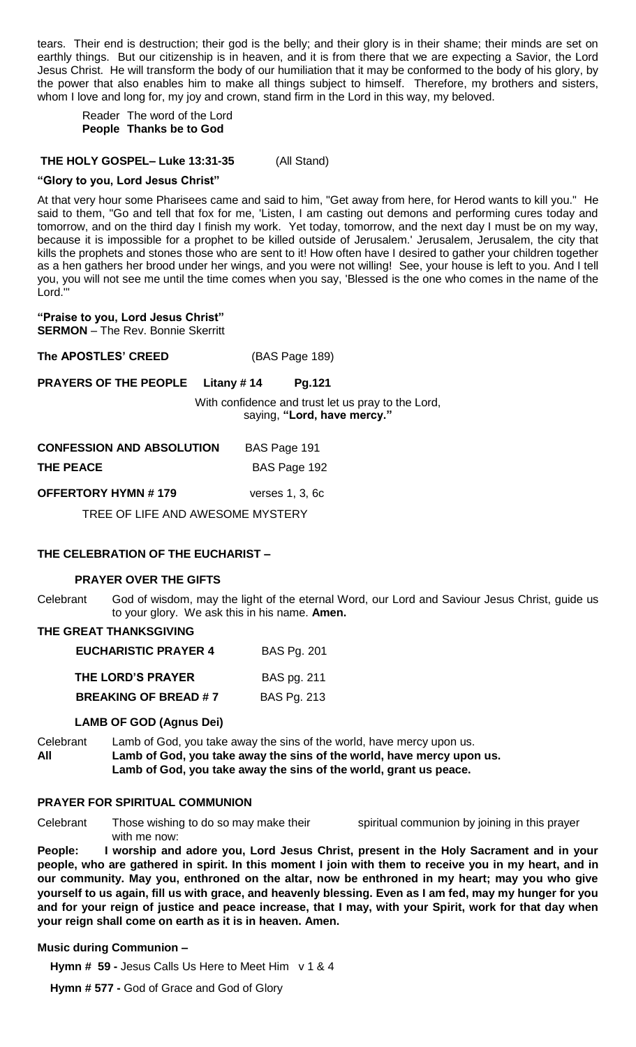tears. Their end is destruction; their god is the belly; and their glory is in their shame; their minds are set on earthly things. But our citizenship is in heaven, and it is from there that we are expecting a Savior, the Lord Jesus Christ. He will transform the body of our humiliation that it may be conformed to the body of his glory, by the power that also enables him to make all things subject to himself. Therefore, my brothers and sisters, whom I love and long for, my joy and crown, stand firm in the Lord in this way, my beloved.

#### Reader The word of the Lord **People Thanks be to God**

#### **THE HOLY GOSPEL– Luke 13:31-35** (All Stand)

#### **"Glory to you, Lord Jesus Christ"**

At that very hour some Pharisees came and said to him, "Get away from here, for Herod wants to kill you." He said to them, "Go and tell that fox for me, 'Listen, I am casting out demons and performing cures today and tomorrow, and on the third day I finish my work. Yet today, tomorrow, and the next day I must be on my way, because it is impossible for a prophet to be killed outside of Jerusalem.' Jerusalem, Jerusalem, the city that kills the prophets and stones those who are sent to it! How often have I desired to gather your children together as a hen gathers her brood under her wings, and you were not willing! See, your house is left to you. And I tell you, you will not see me until the time comes when you say, 'Blessed is the one who comes in the name of the Lord.

#### **"Praise to you, Lord Jesus Christ"**

**SERMON** – The Rev. Bonnie Skerritt

| The APOSTLES' CREED | (BAS Page 189) |
|---------------------|----------------|
|                     |                |

## PRAYERS OF THE PEOPLE Litany # 14 Pg.121

With confidence and trust let us pray to the Lord, saying, **"Lord, have mercy."**

| <b>CONFESSION AND ABSOLUTION</b> | BAS Page 191 |
|----------------------------------|--------------|
| <b>THE PEACE</b>                 | BAS Page 192 |

**OFFERTORY HYMN # 179** verses 1, 3, 6c

TREE OF LIFE AND AWESOME MYSTERY

### **THE CELEBRATION OF THE EUCHARIST –**

#### **PRAYER OVER THE GIFTS**

Celebrant God of wisdom, may the light of the eternal Word, our Lord and Saviour Jesus Christ, guide us to your glory. We ask this in his name. **Amen.**

#### **THE GREAT THANKSGIVING**

| <b>EUCHARISTIC PRAYER 4</b> | <b>BAS Pg. 201</b> |
|-----------------------------|--------------------|
| THE LORD'S PRAYER           | <b>BAS</b> pg. 211 |
| <b>BREAKING OF BREAD #7</b> | <b>BAS Pg. 213</b> |

#### **LAMB OF GOD (Agnus Dei)**

Celebrant Lamb of God, you take away the sins of the world, have mercy upon us. **All Lamb of God, you take away the sins of the world, have mercy upon us. Lamb of God, you take away the sins of the world, grant us peace.** 

#### **PRAYER FOR SPIRITUAL COMMUNION**

Celebrant Those wishing to do so may make their spiritual communion by joining in this prayer with me now:

**People: I worship and adore you, Lord Jesus Christ, present in the Holy Sacrament and in your people, who are gathered in spirit. In this moment I join with them to receive you in my heart, and in our community. May you, enthroned on the altar, now be enthroned in my heart; may you who give yourself to us again, fill us with grace, and heavenly blessing. Even as I am fed, may my hunger for you and for your reign of justice and peace increase, that I may, with your Spirit, work for that day when your reign shall come on earth as it is in heaven. Amen.**

#### **Music during Communion –**

 **Hymn # 59 -** Jesus Calls Us Here to Meet Him v 1 & 4

 **Hymn # 577 -** God of Grace and God of Glory